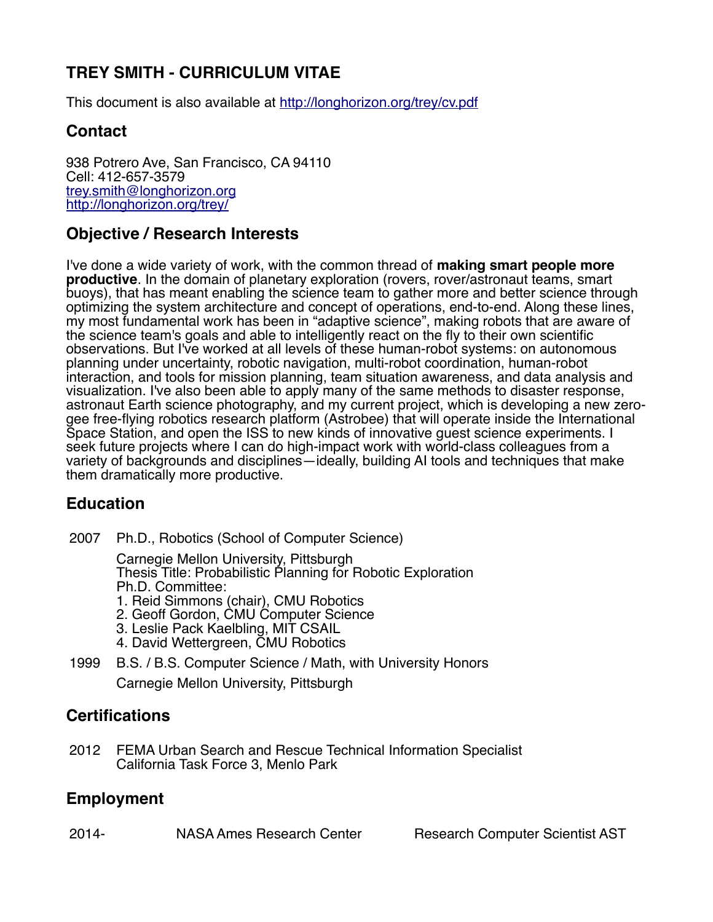# **TREY SMITH - CURRICULUM VITAE**

This document is also available at<http://longhorizon.org/trey/cv.pdf>

# **Contact**

938 Potrero Ave, San Francisco, CA 94110 Cell: 412-657-3579 [trey.smith@longhorizon.org](mailto:trey.smith@longhorizon.org) <http://longhorizon.org/trey/>

# **Objective / Research Interests**

I've done a wide variety of work, with the common thread of **making smart people more productive**. In the domain of planetary exploration (rovers, rover/astronaut teams, smart buoys), that has meant enabling the science team to gather more and better science through optimizing the system architecture and concept of operations, end-to-end. Along these lines, my most fundamental work has been in "adaptive science", making robots that are aware of the science team's goals and able to intelligently react on the fly to their own scientific observations. But I've worked at all levels of these human-robot systems: on autonomous planning under uncertainty, robotic navigation, multi-robot coordination, human-robot interaction, and tools for mission planning, team situation awareness, and data analysis and visualization. I've also been able to apply many of the same methods to disaster response, astronaut Earth science photography, and my current project, which is developing a new zerogee free-flying robotics research platform (Astrobee) that will operate inside the International Space Station, and open the ISS to new kinds of innovative guest science experiments. I seek future projects where I can do high-impact work with world-class colleagues from a variety of backgrounds and disciplines—ideally, building AI tools and techniques that make them dramatically more productive.

## **Education**

2007 Ph.D., Robotics (School of Computer Science)

Carnegie Mellon University, Pittsburgh Thesis Title: Probabilistic Planning for Robotic Exploration Ph.D. Committee:

- 1. Reid Simmons (chair), CMU Robotics
- 2. Geoff Gordon, CMU Computer Science
- 3. Leslie Pack Kaelbling, MIT CSAIL
- 4. David Wettergreen, CMU Robotics
- 1999 B.S. / B.S. Computer Science / Math, with University Honors Carnegie Mellon University, Pittsburgh

# **Certifications**

2012 FEMA Urban Search and Rescue Technical Information Specialist California Task Force 3, Menlo Park

# **Employment**

2014- NASA Ames Research Center Research Computer Scientist AST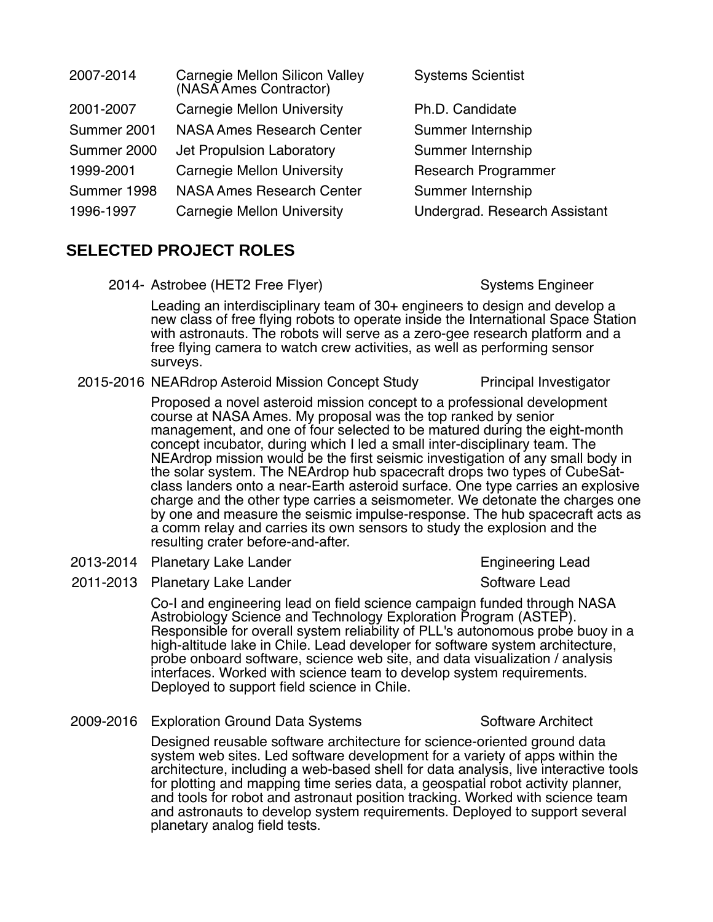| 2007-2014   | Carnegie Mellon Silicon Valley<br>(NASA Ames Contractor) | <b>Systems Scientist</b>      |
|-------------|----------------------------------------------------------|-------------------------------|
| 2001-2007   | <b>Carnegie Mellon University</b>                        | Ph.D. Candidate               |
| Summer 2001 | <b>NASA Ames Research Center</b>                         | Summer Internship             |
| Summer 2000 | Jet Propulsion Laboratory                                | Summer Internship             |
| 1999-2001   | <b>Carnegie Mellon University</b>                        | <b>Research Programmer</b>    |
| Summer 1998 | <b>NASA Ames Research Center</b>                         | Summer Internship             |
| 1996-1997   | <b>Carnegie Mellon University</b>                        | Undergrad. Research Assistant |
|             |                                                          |                               |

### **SELECTED PROJECT ROLES**

2014- Astrobee (HET2 Free Flyer) Systems Engineer

Leading an interdisciplinary team of 30+ engineers to design and develop a new class of free flying robots to operate inside the International Space Station with astronauts. The robots will serve as a zero-gee research platform and a free flying camera to watch crew activities, as well as performing sensor surveys.

2015-2016 NEARdrop Asteroid Mission Concept Study Principal Investigator

Proposed a novel asteroid mission concept to a professional development course at NASA Ames. My proposal was the top ranked by senior management, and one of four selected to be matured during the eight-month concept incubator, during which I led a small inter-disciplinary team. The NEArdrop mission would be the first seismic investigation of any small body in the solar system. The NEArdrop hub spacecraft drops two types of CubeSatclass landers onto a near-Earth asteroid surface. One type carries an explosive charge and the other type carries a seismometer. We detonate the charges one by one and measure the seismic impulse-response. The hub spacecraft acts as a comm relay and carries its own sensors to study the explosion and the resulting crater before-and-after.

- 2013-2014 Planetary Lake Lander Engineering Lead
- 2011-2013 Planetary Lake Lander Software Lead

Co-I and engineering lead on field science campaign funded through NASA Astrobiology Science and Technology Exploration Program (ASTEP). Responsible for overall system reliability of PLL's autonomous probe buoy in a high-altitude lake in Chile. Lead developer for software system architecture, probe onboard software, science web site, and data visualization / analysis interfaces. Worked with science team to develop system requirements. Deployed to support field science in Chile.

2009-2016 Exploration Ground Data Systems Software Architect

Designed reusable software architecture for science-oriented ground data system web sites. Led software development for a variety of apps within the architecture, including a web-based shell for data analysis, live interactive tools for plotting and mapping time series data, a geospatial robot activity planner, and tools for robot and astronaut position tracking. Worked with science team and astronauts to develop system requirements. Deployed to support several planetary analog field tests.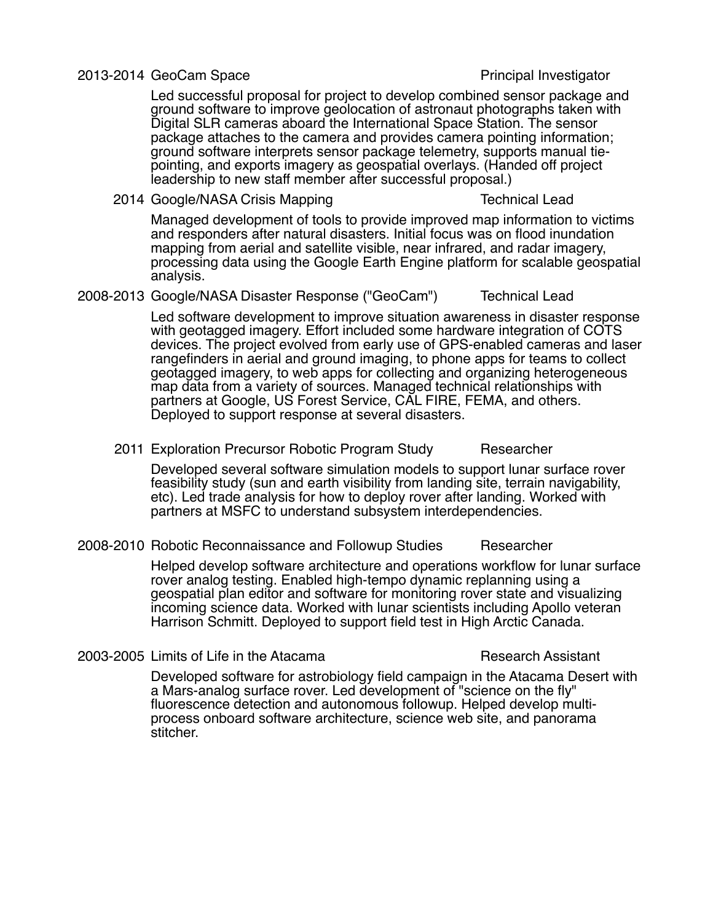#### 2013-2014 GeoCam Space Principal Investigator

Led successful proposal for project to develop combined sensor package and ground software to improve geolocation of astronaut photographs taken with Digital SLR cameras aboard the International Space Station. The sensor package attaches to the camera and provides camera pointing information; ground software interprets sensor package telemetry, supports manual tiepointing, and exports imagery as geospatial overlays. (Handed off project leadership to new staff member after successful proposal.)

2014 Google/NASA Crisis Mapping Technical Lead

Managed development of tools to provide improved map information to victims and responders after natural disasters. Initial focus was on flood inundation mapping from aerial and satellite visible, near infrared, and radar imagery, processing data using the Google Earth Engine platform for scalable geospatial analysis.

2008-2013 Google/NASA Disaster Response ("GeoCam") Technical Lead

Led software development to improve situation awareness in disaster response with geotagged imagery. Effort included some hardware integration of COTS devices. The project evolved from early use of GPS-enabled cameras and laser rangefinders in aerial and ground imaging, to phone apps for teams to collect geotagged imagery, to web apps for collecting and organizing heterogeneous map data from a variety of sources. Managed technical relationships with partners at Google, US Forest Service, CAL FIRE, FEMA, and others. Deployed to support response at several disasters.

2011 Exploration Precursor Robotic Program Study Researcher

Developed several software simulation models to support lunar surface rover feasibility study (sun and earth visibility from landing site, terrain navigability, etc). Led trade analysis for how to deploy rover after landing. Worked with partners at MSFC to understand subsystem interdependencies.

#### 2008-2010 Robotic Reconnaissance and Followup Studies Researcher

Helped develop software architecture and operations workflow for lunar surface rover analog testing. Enabled high-tempo dynamic replanning using a geospatial plan editor and software for monitoring rover state and visualizing incoming science data. Worked with lunar scientists including Apollo veteran Harrison Schmitt. Deployed to support field test in High Arctic Canada.

2003-2005 Limits of Life in the Atacama **Research Assistant** 

Developed software for astrobiology field campaign in the Atacama Desert with a Mars-analog surface rover. Led development of "science on the fly" fluorescence detection and autonomous followup. Helped develop multiprocess onboard software architecture, science web site, and panorama stitcher.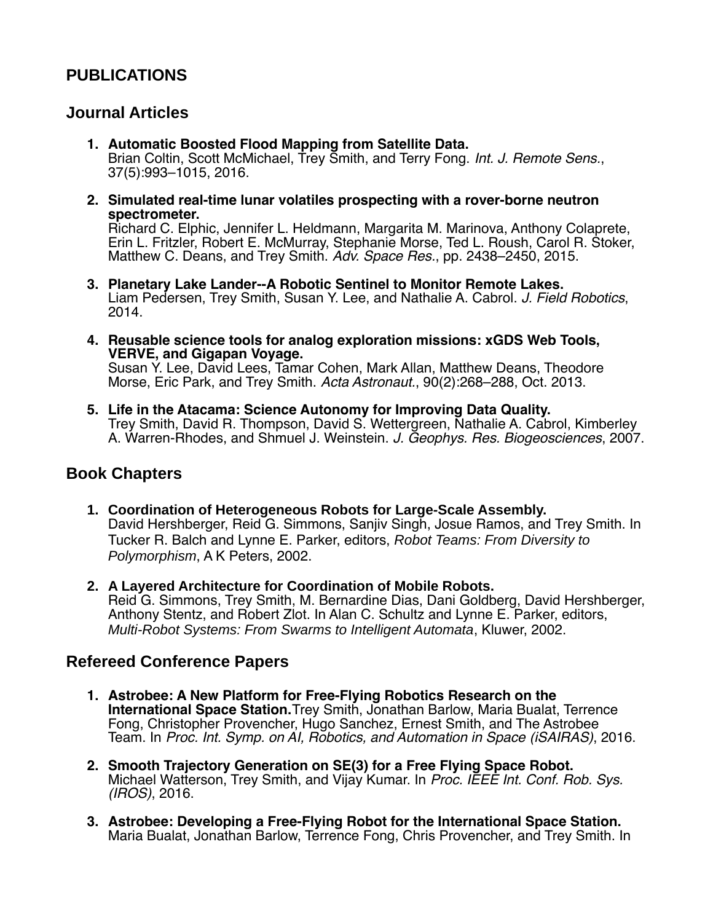# **PUBLICATIONS**

### **Journal Articles**

- **1. Automatic Boosted Flood Mapping from Satellite Data.** Brian Coltin, Scott McMichael, Trey Smith, and Terry Fong. *Int. J. Remote Sens.*, 37(5):993–1015, 2016.
- **2. Simulated real-time lunar volatiles prospecting with a rover-borne neutron spectrometer.**

Richard C. Elphic, Jennifer L. Heldmann, Margarita M. Marinova, Anthony Colaprete, Erin L. Fritzler, Robert E. McMurray, Stephanie Morse, Ted L. Roush, Carol R. Stoker, Matthew C. Deans, and Trey Smith. Adv. Space Res., pp. 2438–2450, 2015.

- **3. Planetary Lake Lander--A Robotic Sentinel to Monitor Remote Lakes.** Liam Pedersen, Trey Smith, Susan Y. Lee, and Nathalie A. Cabrol. J. Field Robotics, 2014.
- **4. Reusable science tools for analog exploration missions: xGDS Web Tools, VERVE, and Gigapan Voyage.** Susan Y. Lee, David Lees, Tamar Cohen, Mark Allan, Matthew Deans, Theodore Morse, Eric Park, and Trey Smith. Acta Astronaut., 90(2):268–288, Oct. 2013.
- **5. Life in the Atacama: Science Autonomy for Improving Data Quality.** Trey Smith, David R. Thompson, David S. Wettergreen, Nathalie A. Cabrol, Kimberley A. Warren-Rhodes, and Shmuel J. Weinstein. J. Geophys. Res. Biogeosciences, 2007.

### **Book Chapters**

- **1. Coordination of Heterogeneous Robots for Large-Scale Assembly.** David Hershberger, Reid G. Simmons, Sanjiv Singh, Josue Ramos, and Trey Smith. In Tucker R. Balch and Lynne E. Parker, editors, *Robot Teams: From Diversity to Polymorphism*, A K Peters, 2002.
- **2. A Layered Architecture for Coordination of Mobile Robots.** Reid G. Simmons, Trey Smith, M. Bernardine Dias, Dani Goldberg, David Hershberger, Anthony Stentz, and Robert Zlot. In Alan C. Schultz and Lynne E. Parker, editors, *Multi-Robot Systems: From Swarms to Intelligent Automata*, Kluwer, 2002.

## **Refereed Conference Papers**

- **1. Astrobee: A New Platform for Free-Flying Robotics Research on the International Space Station.** Trey Smith, Jonathan Barlow, Maria Bualat, Terrence Fong, Christopher Provencher, Hugo Sanchez, Ernest Smith, and The Astrobee Team. In Proc. Int. Symp. on AI, Robotics, and Automation in Space (iSAIRAS), 2016.
- **2. Smooth Trajectory Generation on SE(3) for a Free Flying Space Robot.** Michael Watterson, Trey Smith, and Vijay Kumar. In Proc. IEEE Int. Conf. Rob. Sys. (IROS), 2016.
- **3. Astrobee: Developing a Free-Flying Robot for the International Space Station.** Maria Bualat, Jonathan Barlow, Terrence Fong, Chris Provencher, and Trey Smith. In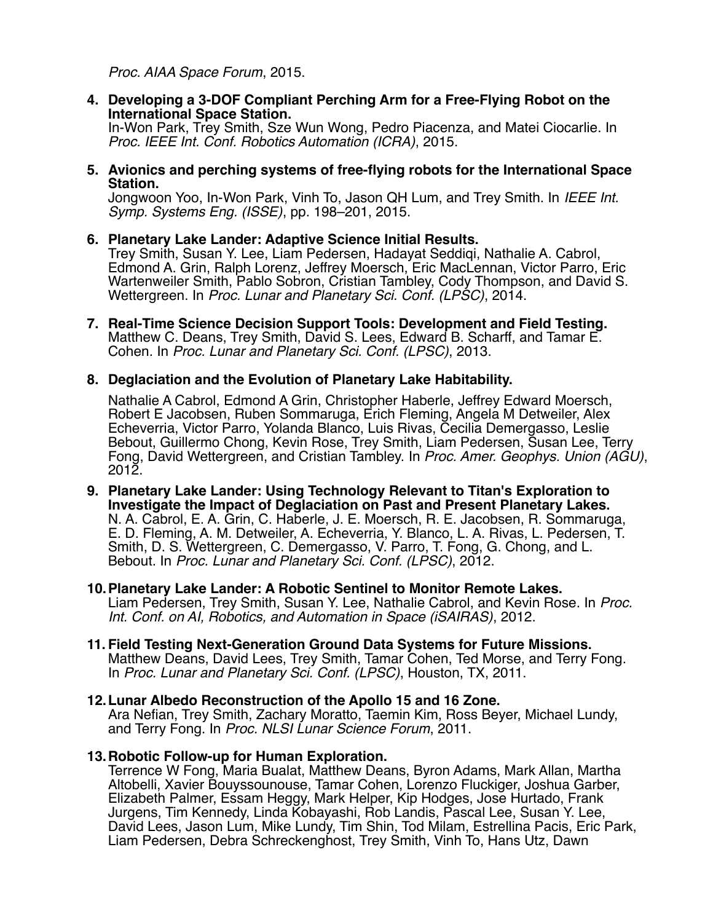Proc. AIAA Space Forum, 2015.

**4. Developing a 3-DOF Compliant Perching Arm for a Free-Flying Robot on the International Space Station.** 

In-Won Park, Trey Smith, Sze Wun Wong, Pedro Piacenza, and Matei Ciocarlie. In Proc. IEEE Int. Conf. Robotics Automation (ICRA), 2015.

**5. Avionics and perching systems of free-flying robots for the International Space Station.**

Jongwoon Yoo, In-Won Park, Vinh To, Jason QH Lum, and Trey Smith. In IEEE Int. Symp. Systems Eng. (ISSE), pp. 198–201, 2015.

#### **6. Planetary Lake Lander: Adaptive Science Initial Results.**

Trey Smith, Susan Y. Lee, Liam Pedersen, Hadayat Seddiqi, Nathalie A. Cabrol, Edmond A. Grin, Ralph Lorenz, Jeffrey Moersch, Eric MacLennan, Victor Parro, Eric Wartenweiler Smith, Pablo Sobron, Cristian Tambley, Cody Thompson, and David S. Wettergreen. In Proc. Lunar and Planetary Sci. Conf. (LPSC), 2014.

**7. Real-Time Science Decision Support Tools: Development and Field Testing.**  Matthew C. Deans, Trey Smith, David S. Lees, Edward B. Scharff, and Tamar E. Cohen. In Proc. Lunar and Planetary Sci. Conf. (LPSC), 2013.

#### **8. Deglaciation and the Evolution of Planetary Lake Habitability.**

Nathalie A Cabrol, Edmond A Grin, Christopher Haberle, Jeffrey Edward Moersch, Robert E Jacobsen, Ruben Sommaruga, Erich Fleming, Angela M Detweiler, Alex Echeverria, Victor Parro, Yolanda Blanco, Luis Rivas, Cecilia Demergasso, Leslie Bebout, Guillermo Chong, Kevin Rose, Trey Smith, Liam Pedersen, Susan Lee, Terry Fong, David Wettergreen, and Cristian Tambley. In Proc. Amer. Geophys. Union (AGU), 2012.

**9. Planetary Lake Lander: Using Technology Relevant to Titan's Exploration to Investigate the Impact of Deglaciation on Past and Present Planetary Lakes.** N. A. Cabrol, E. A. Grin, C. Haberle, J. E. Moersch, R. E. Jacobsen, R. Sommaruga, E. D. Fleming, A. M. Detweiler, A. Echeverria, Y. Blanco, L. A. Rivas, L. Pedersen, T. Smith, D. S. Wettergreen, C. Demergasso, V. Parro, T. Fong, G. Chong, and L. Bebout. In Proc. Lunar and Planetary Sci. Conf. (LPSC), 2012.

#### **10.Planetary Lake Lander: A Robotic Sentinel to Monitor Remote Lakes.**

Liam Pedersen, Trey Smith, Susan Y. Lee, Nathalie Cabrol, and Kevin Rose. In Proc. Int. Conf. on AI, Robotics, and Automation in Space (iSAIRAS), 2012.

- **11. Field Testing Next-Generation Ground Data Systems for Future Missions.**  Matthew Deans, David Lees, Trey Smith, Tamar Cohen, Ted Morse, and Terry Fong. In Proc. Lunar and Planetary Sci. Conf. (LPSC), Houston, TX, 2011.
- **12.Lunar Albedo Reconstruction of the Apollo 15 and 16 Zone.** Ara Nefian, Trey Smith, Zachary Moratto, Taemin Kim, Ross Beyer, Michael Lundy, and Terry Fong. In Proc. NLSI Lunar Science Forum, 2011.

#### **13.Robotic Follow-up for Human Exploration.**

Terrence W Fong, Maria Bualat, Matthew Deans, Byron Adams, Mark Allan, Martha Altobelli, Xavier Bouyssounouse, Tamar Cohen, Lorenzo Fluckiger, Joshua Garber, Elizabeth Palmer, Essam Heggy, Mark Helper, Kip Hodges, Jose Hurtado, Frank Jurgens, Tim Kennedy, Linda Kobayashi, Rob Landis, Pascal Lee, Susan Y. Lee, David Lees, Jason Lum, Mike Lundy, Tim Shin, Tod Milam, Estrellina Pacis, Eric Park, Liam Pedersen, Debra Schreckenghost, Trey Smith, Vinh To, Hans Utz, Dawn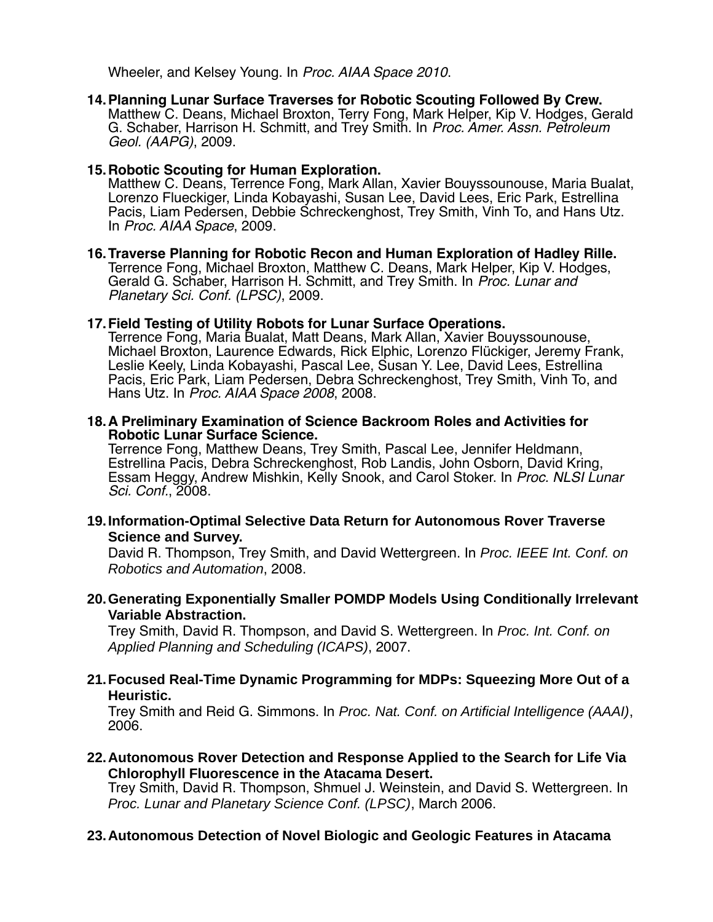Wheeler, and Kelsey Young. In Proc. AIAA Space 2010.

**14.Planning Lunar Surface Traverses for Robotic Scouting Followed By Crew.** Matthew C. Deans, Michael Broxton, Terry Fong, Mark Helper, Kip V. Hodges, Gerald G. Schaber, Harrison H. Schmitt, and Trey Smith. In Proc. Amer. Assn. Petroleum Geol. (AAPG), 2009.

#### **15.Robotic Scouting for Human Exploration.**

Matthew C. Deans, Terrence Fong, Mark Allan, Xavier Bouyssounouse, Maria Bualat, Lorenzo Flueckiger, Linda Kobayashi, Susan Lee, David Lees, Eric Park, Estrellina Pacis, Liam Pedersen, Debbie Schreckenghost, Trey Smith, Vinh To, and Hans Utz. In Proc. AIAA Space, 2009.

**16.Traverse Planning for Robotic Recon and Human Exploration of Hadley Rille.** Terrence Fong, Michael Broxton, Matthew C. Deans, Mark Helper, Kip V. Hodges, Gerald G. Schaber, Harrison H. Schmitt, and Trey Smith. In Proc. Lunar and Planetary Sci. Conf. (LPSC), 2009.

#### **17.Field Testing of Utility Robots for Lunar Surface Operations.**

Terrence Fong, Maria Bualat, Matt Deans, Mark Allan, Xavier Bouyssounouse, Michael Broxton, Laurence Edwards, Rick Elphic, Lorenzo Flückiger, Jeremy Frank, Leslie Keely, Linda Kobayashi, Pascal Lee, Susan Y. Lee, David Lees, Estrellina Pacis, Eric Park, Liam Pedersen, Debra Schreckenghost, Trey Smith, Vinh To, and Hans Utz. In Proc. AIAA Space 2008, 2008.

**18.A Preliminary Examination of Science Backroom Roles and Activities for Robotic Lunar Surface Science.**

Terrence Fong, Matthew Deans, Trey Smith, Pascal Lee, Jennifer Heldmann, Estrellina Pacis, Debra Schreckenghost, Rob Landis, John Osborn, David Kring, Essam Heggy, Andrew Mishkin, Kelly Snook, and Carol Stoker. In Proc. NLSI Lunar Sci. Conf., 2008.

**19.Information-Optimal Selective Data Return for Autonomous Rover Traverse Science and Survey.**

David R. Thompson, Trey Smith, and David Wettergreen. In *Proc. IEEE Int. Conf. on Robotics and Automation*, 2008.

**20.Generating Exponentially Smaller POMDP Models Using Conditionally Irrelevant Variable Abstraction.**

Trey Smith, David R. Thompson, and David S. Wettergreen. In *Proc. Int. Conf. on Applied Planning and Scheduling (ICAPS)*, 2007.

**21.Focused Real-Time Dynamic Programming for MDPs: Squeezing More Out of a Heuristic.**

Trey Smith and Reid G. Simmons. In *Proc. Nat. Conf. on Artificial Intelligence (AAAI)*, 2006.

**22.Autonomous Rover Detection and Response Applied to the Search for Life Via Chlorophyll Fluorescence in the Atacama Desert.**

Trey Smith, David R. Thompson, Shmuel J. Weinstein, and David S. Wettergreen. In *Proc. Lunar and Planetary Science Conf. (LPSC)*, March 2006.

#### **23.Autonomous Detection of Novel Biologic and Geologic Features in Atacama**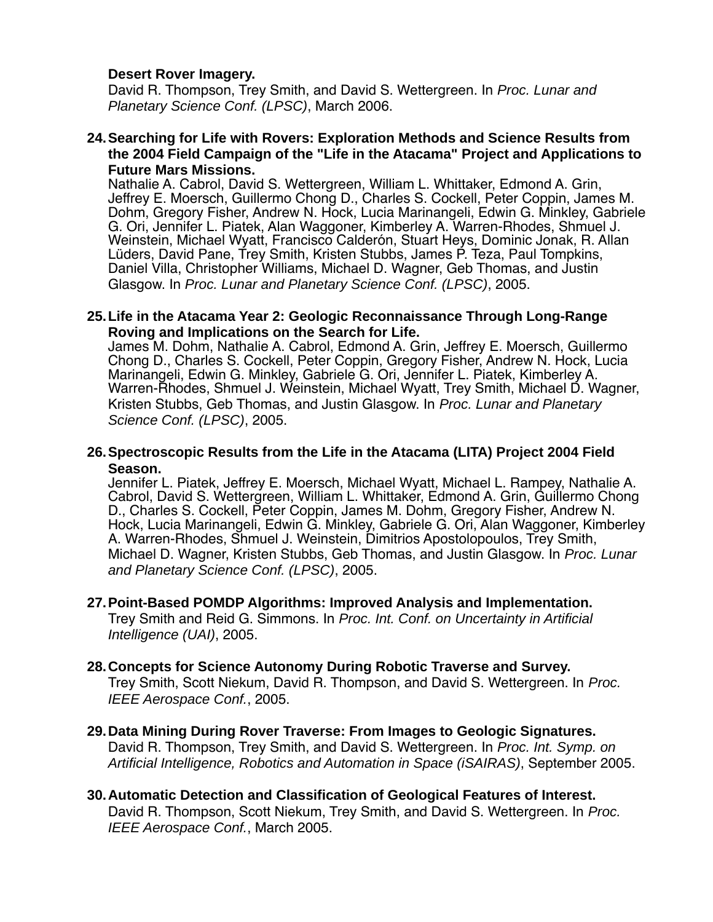#### **Desert Rover Imagery.**

David R. Thompson, Trey Smith, and David S. Wettergreen. In *Proc. Lunar and Planetary Science Conf. (LPSC)*, March 2006.

#### **24.Searching for Life with Rovers: Exploration Methods and Science Results from the 2004 Field Campaign of the "Life in the Atacama" Project and Applications to Future Mars Missions.**

Nathalie A. Cabrol, David S. Wettergreen, William L. Whittaker, Edmond A. Grin, Jeffrey E. Moersch, Guillermo Chong D., Charles S. Cockell, Peter Coppin, James M. Dohm, Gregory Fisher, Andrew N. Hock, Lucia Marinangeli, Edwin G. Minkley, Gabriele G. Ori, Jennifer L. Piatek, Alan Waggoner, Kimberley A. Warren-Rhodes, Shmuel J. Weinstein, Michael Wyatt, Francisco Calderón, Stuart Heys, Dominic Jonak, R. Allan Lüders, David Pane, Trey Smith, Kristen Stubbs, James P. Teza, Paul Tompkins, Daniel Villa, Christopher Williams, Michael D. Wagner, Geb Thomas, and Justin Glasgow. In *Proc. Lunar and Planetary Science Conf. (LPSC)*, 2005.

#### **25.Life in the Atacama Year 2: Geologic Reconnaissance Through Long-Range Roving and Implications on the Search for Life.**

James M. Dohm, Nathalie A. Cabrol, Edmond A. Grin, Jeffrey E. Moersch, Guillermo Chong D., Charles S. Cockell, Peter Coppin, Gregory Fisher, Andrew N. Hock, Lucia Marinangeli, Edwin G. Minkley, Gabriele G. Ori, Jennifer L. Piatek, Kimberley A. Warren-Rhodes, Shmuel J. Weinstein, Michael Wyatt, Trey Smith, Michael D. Wagner, Kristen Stubbs, Geb Thomas, and Justin Glasgow. In *Proc. Lunar and Planetary Science Conf. (LPSC)*, 2005.

#### **26.Spectroscopic Results from the Life in the Atacama (LITA) Project 2004 Field Season.**

Jennifer L. Piatek, Jeffrey E. Moersch, Michael Wyatt, Michael L. Rampey, Nathalie A. Cabrol, David S. Wettergreen, William L. Whittaker, Edmond A. Grin, Guillermo Chong D., Charles S. Cockell, Peter Coppin, James M. Dohm, Gregory Fisher, Andrew N. Hock, Lucia Marinangeli, Edwin G. Minkley, Gabriele G. Ori, Alan Waggoner, Kimberley A. Warren-Rhodes, Shmuel J. Weinstein, Dimitrios Apostolopoulos, Trey Smith, Michael D. Wagner, Kristen Stubbs, Geb Thomas, and Justin Glasgow. In *Proc. Lunar and Planetary Science Conf. (LPSC)*, 2005.

### **27.Point-Based POMDP Algorithms: Improved Analysis and Implementation.**

Trey Smith and Reid G. Simmons. In *Proc. Int. Conf. on Uncertainty in Artificial Intelligence (UAI)*, 2005.

#### **28.Concepts for Science Autonomy During Robotic Traverse and Survey.**

Trey Smith, Scott Niekum, David R. Thompson, and David S. Wettergreen. In *Proc. IEEE Aerospace Conf.*, 2005.

#### **29.Data Mining During Rover Traverse: From Images to Geologic Signatures.** David R. Thompson, Trey Smith, and David S. Wettergreen. In *Proc. Int. Symp. on Artificial Intelligence, Robotics and Automation in Space (iSAIRAS)*, September 2005.

**30.Automatic Detection and Classification of Geological Features of Interest.** David R. Thompson, Scott Niekum, Trey Smith, and David S. Wettergreen. In *Proc. IEEE Aerospace Conf.*, March 2005.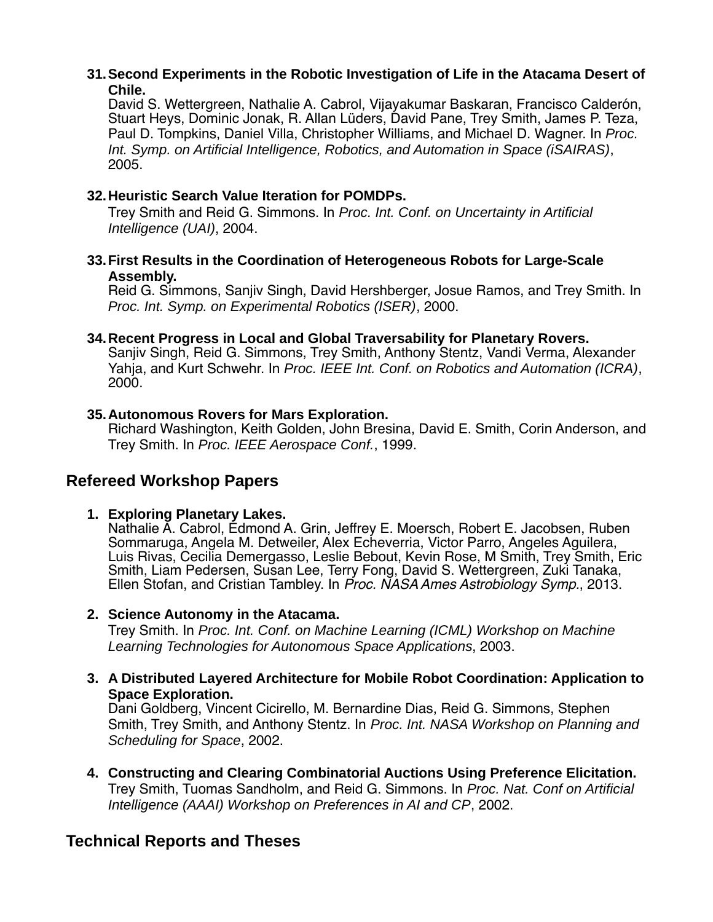#### **31.Second Experiments in the Robotic Investigation of Life in the Atacama Desert of Chile.**

David S. Wettergreen, Nathalie A. Cabrol, Vijayakumar Baskaran, Francisco Calderón, Stuart Heys, Dominic Jonak, R. Allan Lüders, David Pane, Trey Smith, James P. Teza, Paul D. Tompkins, Daniel Villa, Christopher Williams, and Michael D. Wagner. In *Proc. Int. Symp. on Artificial Intelligence, Robotics, and Automation in Space (iSAIRAS)*, 2005.

### **32.Heuristic Search Value Iteration for POMDPs.**

Trey Smith and Reid G. Simmons. In *Proc. Int. Conf. on Uncertainty in Artificial Intelligence (UAI)*, 2004.

#### **33.First Results in the Coordination of Heterogeneous Robots for Large-Scale Assembly.**

Reid G. Simmons, Sanjiv Singh, David Hershberger, Josue Ramos, and Trey Smith. In *Proc. Int. Symp. on Experimental Robotics (ISER)*, 2000.

#### **34.Recent Progress in Local and Global Traversability for Planetary Rovers.**

Sanjiv Singh, Reid G. Simmons, Trey Smith, Anthony Stentz, Vandi Verma, Alexander Yahja, and Kurt Schwehr. In *Proc. IEEE Int. Conf. on Robotics and Automation (ICRA)*, 2000.

#### **35.Autonomous Rovers for Mars Exploration.**

Richard Washington, Keith Golden, John Bresina, David E. Smith, Corin Anderson, and Trey Smith. In *Proc. IEEE Aerospace Conf.*, 1999.

## **Refereed Workshop Papers**

#### **1. Exploring Planetary Lakes.**

Nathalie A. Cabrol, Edmond A. Grin, Jeffrey E. Moersch, Robert E. Jacobsen, Ruben Sommaruga, Angela M. Detweiler, Alex Echeverria, Victor Parro, Angeles Aguilera, Luis Rivas, Cecilia Demergasso, Leslie Bebout, Kevin Rose, M Smith, Trey Smith, Eric Smith, Liam Pedersen, Susan Lee, Terry Fong, David S. Wettergreen, Zuki Tanaka, Ellen Stofan, and Cristian Tambley. In Proc. NASA Ames Astrobiology Symp., 2013.

#### **2. Science Autonomy in the Atacama.**

Trey Smith. In *Proc. Int. Conf. on Machine Learning (ICML) Workshop on Machine Learning Technologies for Autonomous Space Applications*, 2003.

**3. A Distributed Layered Architecture for Mobile Robot Coordination: Application to Space Exploration.** Dani Goldberg, Vincent Cicirello, M. Bernardine Dias, Reid G. Simmons, Stephen

Smith, Trey Smith, and Anthony Stentz. In *Proc. Int. NASA Workshop on Planning and Scheduling for Space*, 2002.

**4. Constructing and Clearing Combinatorial Auctions Using Preference Elicitation.** Trey Smith, Tuomas Sandholm, and Reid G. Simmons. In *Proc. Nat. Conf on Artificial Intelligence (AAAI) Workshop on Preferences in AI and CP*, 2002.

# **Technical Reports and Theses**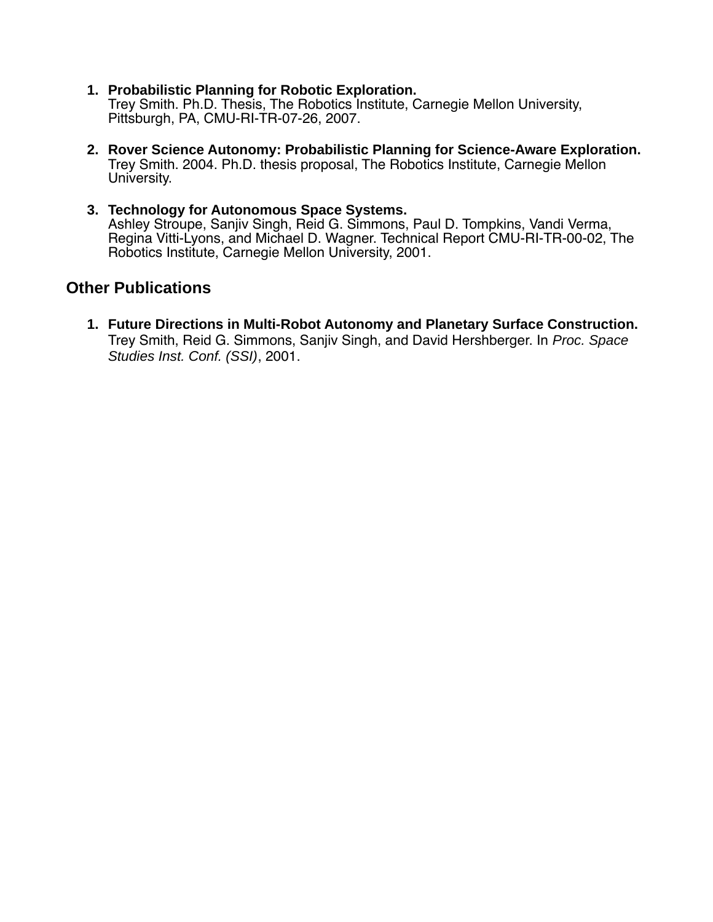- **1. Probabilistic Planning for Robotic Exploration.** Trey Smith. Ph.D. Thesis, The Robotics Institute, Carnegie Mellon University, Pittsburgh, PA, CMU-RI-TR-07-26, 2007.
- **2. Rover Science Autonomy: Probabilistic Planning for Science-Aware Exploration.** Trey Smith. 2004. Ph.D. thesis proposal, The Robotics Institute, Carnegie Mellon University.
- **3. Technology for Autonomous Space Systems.** Ashley Stroupe, Sanjiv Singh, Reid G. Simmons, Paul D. Tompkins, Vandi Verma, Regina Vitti-Lyons, and Michael D. Wagner. Technical Report CMU-RI-TR-00-02, The Robotics Institute, Carnegie Mellon University, 2001.

## **Other Publications**

**1. Future Directions in Multi-Robot Autonomy and Planetary Surface Construction.** Trey Smith, Reid G. Simmons, Sanjiv Singh, and David Hershberger. In *Proc. Space Studies Inst. Conf. (SSI)*, 2001.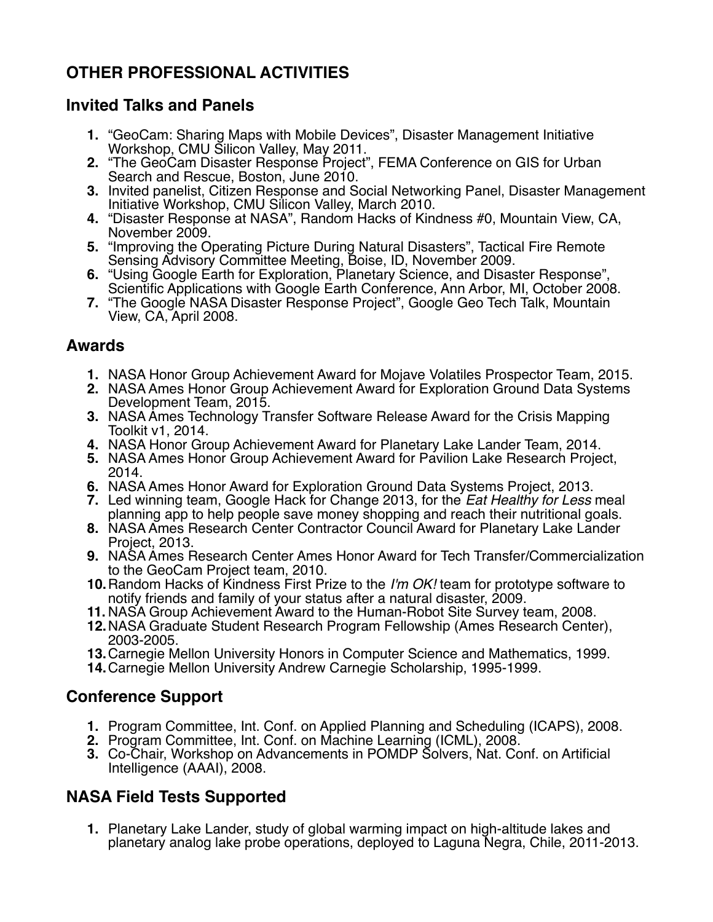# **OTHER PROFESSIONAL ACTIVITIES**

## **Invited Talks and Panels**

- **1.** "GeoCam: Sharing Maps with Mobile Devices", Disaster Management Initiative Workshop, CMU Silicon Valley, May 2011.
- 2. "The GeoCam Disaster Response Project", FEMA Conference on GIS for Urban Search and Rescue, Boston, June 2010.
- **3.** Invited panelist, Citizen Response and Social Networking Panel, Disaster Management Initiative Workshop, CMU Silicon Valley, March 2010.
- **4.** "Disaster Response at NASA", Random Hacks of Kindness #0, Mountain View, CA, November 2009.
- **5.** "Improving the Operating Picture During Natural Disasters", Tactical Fire Remote Sensing Advisory Committee Meeting, Boise, ID, November 2009.
- **6.** "Using Google Earth for Exploration, Planetary Science, and Disaster Response", Scientific Applications with Google Earth Conference, Ann Arbor, MI, October 2008.
- **7.** "The Google NASA Disaster Response Project", Google Geo Tech Talk, Mountain View, CA, April 2008.

# **Awards**

- **1.** NASA Honor Group Achievement Award for Mojave Volatiles Prospector Team, 2015.
- **2.** NASA Ames Honor Group Achievement Award for Exploration Ground Data Systems Development Team, 2015.
- **3.** NASA Ames Technology Transfer Software Release Award for the Crisis Mapping Toolkit v1, 2014.
- **4.** NASA Honor Group Achievement Award for Planetary Lake Lander Team, 2014.
- **5.** NASA Ames Honor Group Achievement Award for Pavilion Lake Research Project, 2014.
- **6.** NASA Ames Honor Award for Exploration Ground Data Systems Project, 2013.
- **7.** Led winning team, Google Hack for Change 2013, for the Eat Healthy for Less meal planning app to help people save money shopping and reach their nutritional goals.
- **8.** NASA Ames Research Center Contractor Council Award for Planetary Lake Lander Project, 2013.
- **9.** NASA Ames Research Center Ames Honor Award for Tech Transfer/Commercialization to the GeoCam Project team, 2010.
- **10.** Random Hacks of Kindness First Prize to the I'm OK! team for prototype software to notify friends and family of your status after a natural disaster, 2009.
- **11.** NASA Group Achievement Award to the Human-Robot Site Survey team, 2008.
- **12.**NASA Graduate Student Research Program Fellowship (Ames Research Center), 2003-2005.
- **13.**Carnegie Mellon University Honors in Computer Science and Mathematics, 1999.
- **14.**Carnegie Mellon University Andrew Carnegie Scholarship, 1995-1999.

# **Conference Support**

- **1.** Program Committee, Int. Conf. on Applied Planning and Scheduling (ICAPS), 2008.
- **2.** Program Committee, Int. Conf. on Machine Learning (ICML), 2008.
- **3.** Co-Chair, Workshop on Advancements in POMDP Solvers, Nat. Conf. on Artificial Intelligence (AAAI), 2008.

# **NASA Field Tests Supported**

**1.** Planetary Lake Lander, study of global warming impact on high-altitude lakes and planetary analog lake probe operations, deployed to Laguna Negra, Chile, 2011-2013.